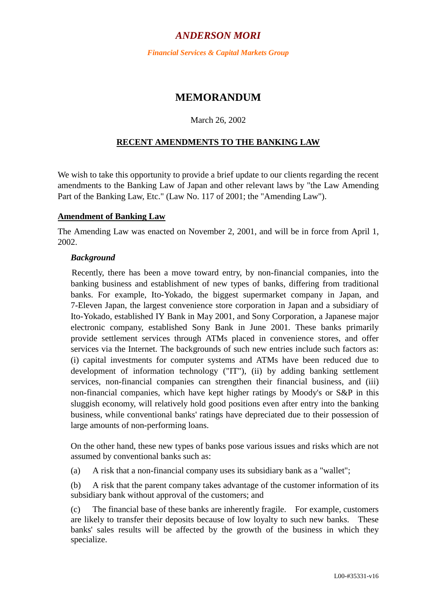## *ANDERSON MORI*

*Financial Services & Capital Markets Group*

# **MEMORANDUM**

### March 26, 2002

### **RECENT AMENDMENTS TO THE BANKING LAW**

We wish to take this opportunity to provide a brief update to our clients regarding the recent amendments to the Banking Law of Japan and other relevant laws by "the Law Amending Part of the Banking Law, Etc." (Law No. 117 of 2001; the "Amending Law").

#### **Amendment of Banking Law**

The Amending Law was enacted on November 2, 2001, and will be in force from April 1, 2002.

#### *Background*

Recently, there has been a move toward entry, by non-financial companies, into the banking business and establishment of new types of banks, differing from traditional banks. For example, Ito-Yokado, the biggest supermarket company in Japan, and 7-Eleven Japan, the largest convenience store corporation in Japan and a subsidiary of Ito-Yokado, established IY Bank in May 2001, and Sony Corporation, a Japanese major electronic company, established Sony Bank in June 2001. These banks primarily provide settlement services through ATMs placed in convenience stores, and offer services via the Internet. The backgrounds of such new entries include such factors as: (i) capital investments for computer systems and ATMs have been reduced due to development of information technology ("IT"), (ii) by adding banking settlement services, non-financial companies can strengthen their financial business, and (iii) non-financial companies, which have kept higher ratings by Moody's or S&P in this sluggish economy, will relatively hold good positions even after entry into the banking business, while conventional banks' ratings have depreciated due to their possession of large amounts of non-performing loans.

On the other hand, these new types of banks pose various issues and risks which are not assumed by conventional banks such as:

(a) A risk that a non-financial company uses its subsidiary bank as a "wallet";

(b) A risk that the parent company takes advantage of the customer information of its subsidiary bank without approval of the customers; and

(c) The financial base of these banks are inherently fragile. For example, customers are likely to transfer their deposits because of low loyalty to such new banks. These banks' sales results will be affected by the growth of the business in which they specialize.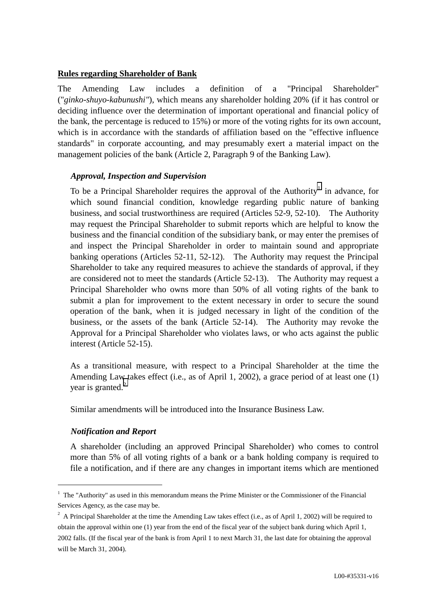### **Rules regarding Shareholder of Bank**

The Amending Law includes a definition of a "Principal Shareholder" ("*ginko-shuyo-kabunushi"*), which means any shareholder holding 20% (if it has control or deciding influence over the determination of important operational and financial policy of the bank, the percentage is reduced to 15%) or more of the voting rights for its own account, which is in accordance with the standards of affiliation based on the "effective influence standards" in corporate accounting, and may presumably exert a material impact on the management policies of the bank (Article 2, Paragraph 9 of the Banking Law).

### *Approval, Inspection and Supervision*

To be a Principal Shareholder requires the approval of the Authority<sup>1</sup> in advance, for which sound financial condition, knowledge regarding public nature of banking business, and social trustworthiness are required (Articles 52-9, 52-10). The Authority may request the Principal Shareholder to submit reports which are helpful to know the business and the financial condition of the subsidiary bank, or may enter the premises of and inspect the Principal Shareholder in order to maintain sound and appropriate banking operations (Articles 52-11, 52-12). The Authority may request the Principal Shareholder to take any required measures to achieve the standards of approval, if they are considered not to meet the standards (Article 52-13). The Authority may request a Principal Shareholder who owns more than 50% of all voting rights of the bank to submit a plan for improvement to the extent necessary in order to secure the sound operation of the bank, when it is judged necessary in light of the condition of the business, or the assets of the bank (Article 52-14). The Authority may revoke the Approval for a Principal Shareholder who violates laws, or who acts against the public interest (Article 52-15).

As a transitional measure, with respect to a Principal Shareholder at the time the Amending Law takes effect (i.e., as of April 1, 2002), a grace period of at least one (1) year is granted. $2$ 

Similar amendments will be introduced into the Insurance Business Law.

## *Notification and Report*

 $\overline{a}$ 

A shareholder (including an approved Principal Shareholder) who comes to control more than 5% of all voting rights of a bank or a bank holding company is required to file a notification, and if there are any changes in important items which are mentioned

<sup>&</sup>lt;sup>1</sup> The "Authority" as used in this memorandum means the Prime Minister or the Commissioner of the Financial Services Agency, as the case may be.

<sup>&</sup>lt;sup>2</sup> A Principal Shareholder at the time the Amending Law takes effect (i.e., as of April 1, 2002) will be required to obtain the approval within one (1) year from the end of the fiscal year of the subject bank during which April 1, 2002 falls. (If the fiscal year of the bank is from April 1 to next March 31, the last date for obtaining the approval will be March 31, 2004).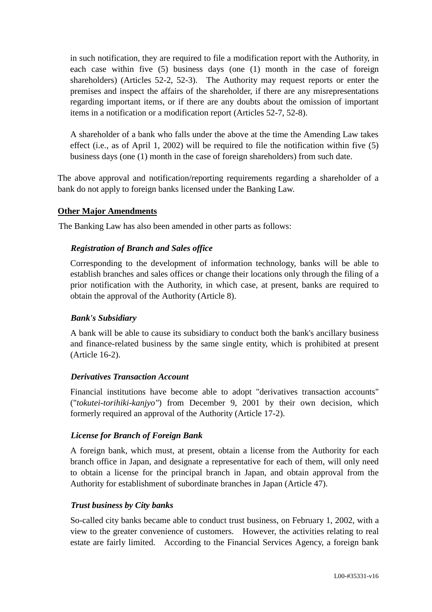in such notification, they are required to file a modification report with the Authority, in each case within five (5) business days (one (1) month in the case of foreign shareholders) (Articles 52-2, 52-3). The Authority may request reports or enter the premises and inspect the affairs of the shareholder, if there are any misrepresentations regarding important items, or if there are any doubts about the omission of important items in a notification or a modification report (Articles 52-7, 52-8).

A shareholder of a bank who falls under the above at the time the Amending Law takes effect (i.e., as of April 1, 2002) will be required to file the notification within five (5) business days (one (1) month in the case of foreign shareholders) from such date.

The above approval and notification/reporting requirements regarding a shareholder of a bank do not apply to foreign banks licensed under the Banking Law.

### **Other Major Amendments**

The Banking Law has also been amended in other parts as follows:

### *Registration of Branch and Sales office*

Corresponding to the development of information technology, banks will be able to establish branches and sales offices or change their locations only through the filing of a prior notification with the Authority, in which case, at present, banks are required to obtain the approval of the Authority (Article 8).

### *Bank's Subsidiary*

A bank will be able to cause its subsidiary to conduct both the bank's ancillary business and finance-related business by the same single entity, which is prohibited at present (Article 16-2).

### *Derivatives Transaction Account*

Financial institutions have become able to adopt "derivatives transaction accounts" ("*tokutei-torihiki-kanjyo"*) from December 9, 2001 by their own decision, which formerly required an approval of the Authority (Article 17-2).

### *License for Branch of Foreign Bank*

A foreign bank, which must, at present, obtain a license from the Authority for each branch office in Japan, and designate a representative for each of them, will only need to obtain a license for the principal branch in Japan, and obtain approval from the Authority for establishment of subordinate branches in Japan (Article 47).

#### *Trust business by City banks*

So-called city banks became able to conduct trust business, on February 1, 2002, with a view to the greater convenience of customers. However, the activities relating to real estate are fairly limited. According to the Financial Services Agency, a foreign bank